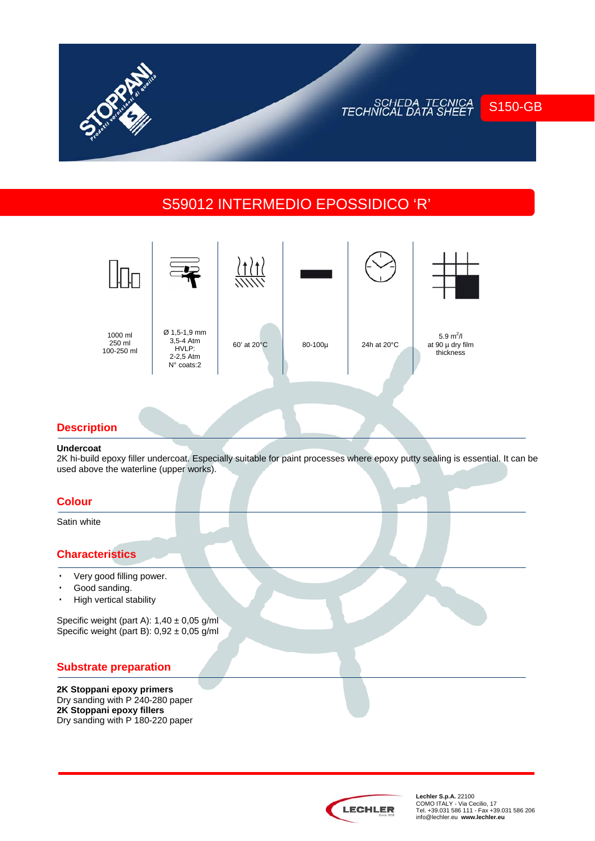# S59012 INTERMEDIO EPOSSIDICO 'R'



### **Description**

#### **Undercoat**

2K hi-build epoxy filler undercoat. Especially suitable for paint processes where epoxy putty sealing is essential. It can be used above the waterline (upper works).

### **Colour**

Satin white

## **Characteristics**

- · Very good filling power.
- · Good sanding.
- · High vertical stability

Specific weight (part A):  $1,40 \pm 0,05$  g/ml Specific weight (part B):  $0.92 \pm 0.05$  g/ml

### **Substrate preparation**

**2K Stoppani epoxy primers**  Dry sanding with P 240-280 paper **2K Stoppani epoxy fillers**  Dry sanding with P 180-220 paper



**Lechler S.p.A.** 22100<br>COMO ITALY - Via Cecilio, 17<br>Tel. +39.031 586 111 - Fax +39.031 586 206 info@lechler.eu **www.lechler.eu** 

S150-GB

SCHEDA TECNICA<br>TECHNICAL DATA SHEET